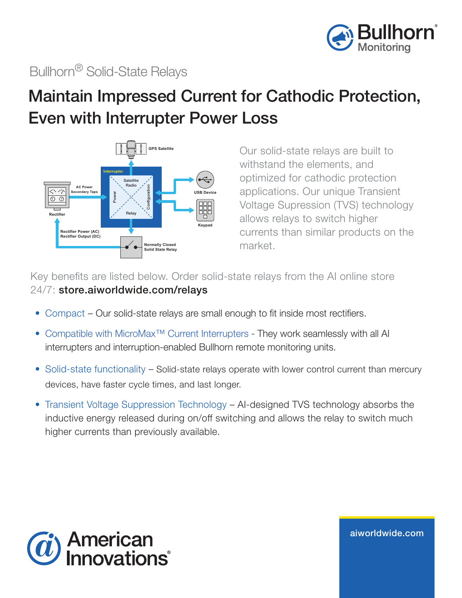

## Bullhorn® Solid-State Relays

## Maintain Impressed Current for Cathodic Protection, Even with Interrupter Power Loss



Our solid-state relays are built to withstand the elements, and optimized for cathodic protection applications. Our unique Transient Voltage Supression (TVS) technology allows relays to switch higher currents than similar products on the market.

Key benefits are listed below. Order solid-state relays from the AI online store 24/7: store.aiworldwide.com/relays

- Compact Our solid-state relays are small enough to fit inside most rectifiers.
- Compatible with MicroMax™ Current Interrupters They work seamlessly with all AI interrupters and interruption-enabled Bullhorn remote monitoring units.
- Solid-state functionality Solid-state relays operate with lower control current than mercury devices, have faster cycle times, and last longer.
- Transient Voltage Suppression Technology AI-designed TVS technology absorbs the inductive energy released during on/off switching and allows the relay to switch much higher currents than previously available.



aiworldwide.com